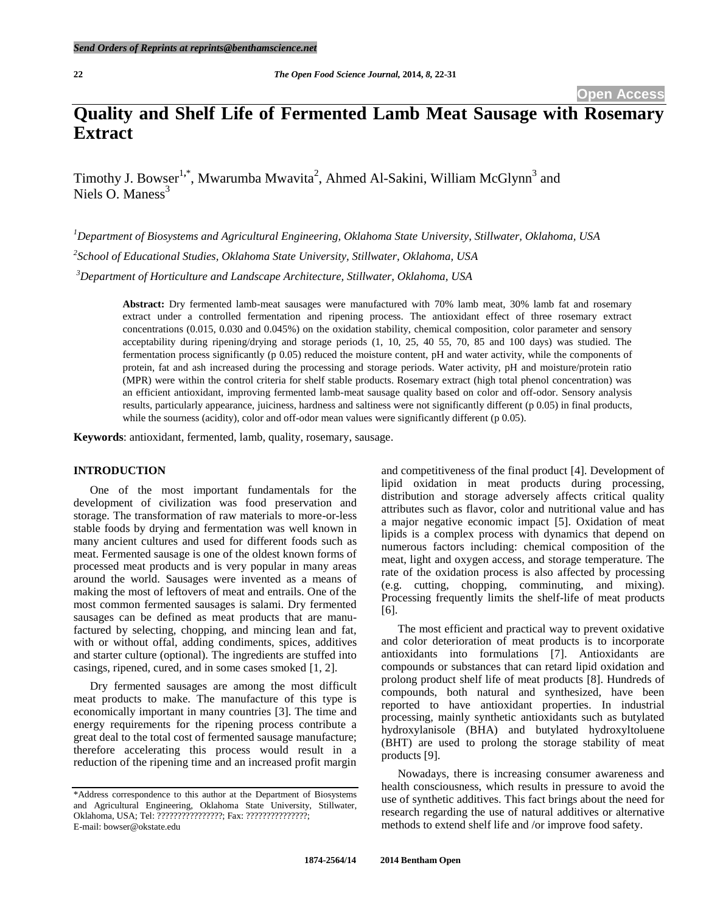# **Quality and Shelf Life of Fermented Lamb Meat Sausage with Rosemary Extract**

Timothy J. Bowser<sup>1,\*</sup>, Mwarumba Mwavita<sup>2</sup>, Ahmed Al-Sakini, William McGlynn<sup>3</sup> and Niels O. Maness<sup>3</sup>

*<sup>1</sup>Department of Biosystems and Agricultural Engineering, Oklahoma State University, Stillwater, Oklahoma, USA 2 School of Educational Studies, Oklahoma State University, Stillwater, Oklahoma, USA <sup>3</sup>Department of Horticulture and Landscape Architecture, Stillwater, Oklahoma, USA*

**Abstract:** Dry fermented lamb-meat sausages were manufactured with 70% lamb meat, 30% lamb fat and rosemary extract under a controlled fermentation and ripening process. The antioxidant effect of three rosemary extract concentrations (0.015, 0.030 and 0.045%) on the oxidation stability, chemical composition, color parameter and sensory acceptability during ripening/drying and storage periods (1, 10, 25, 40 55, 70, 85 and 100 days) was studied. The fermentation process significantly (p 0.05) reduced the moisture content, pH and water activity, while the components of protein, fat and ash increased during the processing and storage periods. Water activity, pH and moisture/protein ratio (MPR) were within the control criteria for shelf stable products. Rosemary extract (high total phenol concentration) was an efficient antioxidant, improving fermented lamb-meat sausage quality based on color and off-odor. Sensory analysis results, particularly appearance, juiciness, hardness and saltiness were not significantly different (p 0.05) in final products, while the sourness (acidity), color and off-odor mean values were significantly different (p 0.05).

**Keywords**: antioxidant, fermented, lamb, quality, rosemary, sausage.

# **INTRODUCTION**

One of the most important fundamentals for the development of civilization was food preservation and storage. The transformation of raw materials to more-or-less stable foods by drying and fermentation was well known in many ancient cultures and used for different foods such as meat. Fermented sausage is one of the oldest known forms of processed meat products and is very popular in many areas around the world. Sausages were invented as a means of making the most of leftovers of meat and entrails. One of the most common fermented sausages is salami. Dry fermented sausages can be defined as meat products that are manufactured by selecting, chopping, and mincing lean and fat, with or without offal, adding condiments, spices, additives and starter culture (optional). The ingredients are stuffed into casings, ripened, cured, and in some cases smoked [1, 2].

Dry fermented sausages are among the most difficult meat products to make. The manufacture of this type is economically important in many countries [3]. The time and energy requirements for the ripening process contribute a great deal to the total cost of fermented sausage manufacture; therefore accelerating this process would result in a reduction of the ripening time and an increased profit margin

and competitiveness of the final product [4]. Development of lipid oxidation in meat products during processing, distribution and storage adversely affects critical quality attributes such as flavor, color and nutritional value and has a major negative economic impact [5]. Oxidation of meat lipids is a complex process with dynamics that depend on numerous factors including: chemical composition of the meat, light and oxygen access, and storage temperature. The rate of the oxidation process is also affected by processing (e.g. cutting, chopping, comminuting, and mixing). Processing frequently limits the shelf-life of meat products [6].

The most efficient and practical way to prevent oxidative and color deterioration of meat products is to incorporate antioxidants into formulations [7]. Antioxidants are compounds or substances that can retard lipid oxidation and prolong product shelf life of meat products [8]. Hundreds of compounds, both natural and synthesized, have been reported to have antioxidant properties. In industrial processing, mainly synthetic antioxidants such as butylated hydroxylanisole (BHA) and butylated hydroxyltoluene (BHT) are used to prolong the storage stability of meat products [9].

Nowadays, there is increasing consumer awareness and health consciousness, which results in pressure to avoid the use of synthetic additives. This fact brings about the need for research regarding the use of natural additives or alternative methods to extend shelf life and /or improve food safety.

<sup>\*</sup>Address correspondence to this author at the Department of Biosystems and Agricultural Engineering, Oklahoma State University, Stillwater, Oklahoma, USA; Tel: ????????????????; Fax: ???????????????; E-mail: bowser@okstate.edu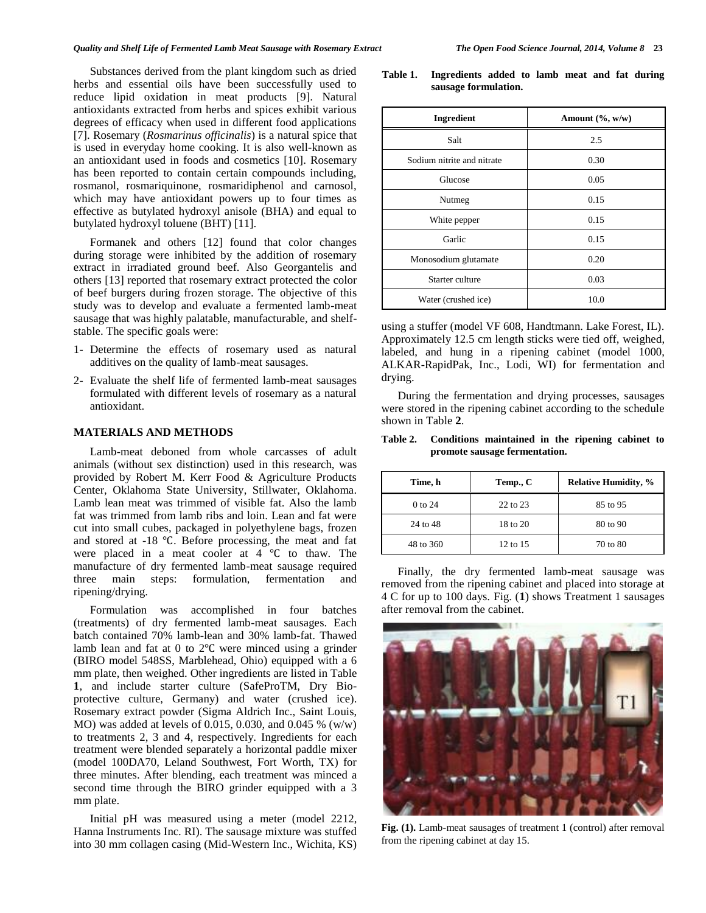Substances derived from the plant kingdom such as dried herbs and essential oils have been successfully used to reduce lipid oxidation in meat products [9]. Natural antioxidants extracted from herbs and spices exhibit various degrees of efficacy when used in different food applications [7]. Rosemary (*Rosmarinus officinalis*) is a natural spice that is used in everyday home cooking. It is also well-known as an antioxidant used in foods and cosmetics [10]. Rosemary has been reported to contain certain compounds including, rosmanol, rosmariquinone, rosmaridiphenol and carnosol, which may have antioxidant powers up to four times as effective as butylated hydroxyl anisole (BHA) and equal to butylated hydroxyl toluene (BHT) [11].

Formanek and others [12] found that color changes during storage were inhibited by the addition of rosemary extract in irradiated ground beef. Also Georgantelis and others [13] reported that rosemary extract protected the color of beef burgers during frozen storage. The objective of this study was to develop and evaluate a fermented lamb-meat sausage that was highly palatable, manufacturable, and shelfstable. The specific goals were:

- 1- Determine the effects of rosemary used as natural additives on the quality of lamb-meat sausages.
- 2- Evaluate the shelf life of fermented lamb-meat sausages formulated with different levels of rosemary as a natural antioxidant.

# **MATERIALS AND METHODS**

Lamb-meat deboned from whole carcasses of adult animals (without sex distinction) used in this research, was provided by Robert M. Kerr Food & Agriculture Products Center, Oklahoma State University, Stillwater, Oklahoma. Lamb lean meat was trimmed of visible fat. Also the lamb fat was trimmed from lamb ribs and loin. Lean and fat were cut into small cubes, packaged in polyethylene bags, frozen and stored at -18 ℃. Before processing, the meat and fat were placed in a meat cooler at 4 ℃ to thaw. The manufacture of dry fermented lamb-meat sausage required three main steps: formulation, fermentation and ripening/drying.

Formulation was accomplished in four batches (treatments) of dry fermented lamb-meat sausages. Each batch contained 70% lamb-lean and 30% lamb-fat. Thawed lamb lean and fat at 0 to 2℃ were minced using a grinder (BIRO model 548SS, Marblehead, Ohio) equipped with a 6 mm plate, then weighed. Other ingredients are listed in Table **1**, and include starter culture (SafeProTM, Dry Bioprotective culture, Germany) and water (crushed ice). Rosemary extract powder (Sigma Aldrich Inc., Saint Louis, MO) was added at levels of 0.015, 0.030, and 0.045 % (w/w) to treatments 2, 3 and 4, respectively. Ingredients for each treatment were blended separately a horizontal paddle mixer (model 100DA70, Leland Southwest, Fort Worth, TX) for three minutes. After blending, each treatment was minced a second time through the BIRO grinder equipped with a 3 mm plate.

Initial pH was measured using a meter (model 2212, Hanna Instruments Inc. RI). The sausage mixture was stuffed into 30 mm collagen casing (Mid-Western Inc., Wichita, KS)

**Table 1. Ingredients added to lamb meat and fat during sausage formulation.**

| Ingredient                 | Amount $(\%$ , w/w) |  |
|----------------------------|---------------------|--|
| Salt                       | 2.5                 |  |
| Sodium nitrite and nitrate | 0.30                |  |
| Glucose                    | 0.05                |  |
| Nutmeg                     | 0.15                |  |
| White pepper               | 0.15                |  |
| Garlic                     | 0.15                |  |
| Monosodium glutamate       | 0.20                |  |
| Starter culture            | 0.03                |  |
| Water (crushed ice)        | 10.0                |  |

using a stuffer (model VF 608, Handtmann. Lake Forest, IL). Approximately 12.5 cm length sticks were tied off, weighed, labeled, and hung in a ripening cabinet (model 1000, ALKAR-RapidPak, Inc., Lodi, WI) for fermentation and drying.

During the fermentation and drying processes, sausages were stored in the ripening cabinet according to the schedule shown in Table **2**.

# **Table 2. Conditions maintained in the ripening cabinet to promote sausage fermentation.**

| Time, h   | Temp., C     | <b>Relative Humidity, %</b> |  |
|-----------|--------------|-----------------------------|--|
| 0 to 24   | $22$ to $23$ | 85 to 95                    |  |
| 24 to 48  | 18 to 20     | 80 to 90                    |  |
| 48 to 360 | 12 to 15     | 70 to 80                    |  |

Finally, the dry fermented lamb-meat sausage was removed from the ripening cabinet and placed into storage at 4 C for up to 100 days. Fig. (**1**) shows Treatment 1 sausages after removal from the cabinet.



**Fig. (1).** Lamb-meat sausages of treatment 1 (control) after removal from the ripening cabinet at day 15.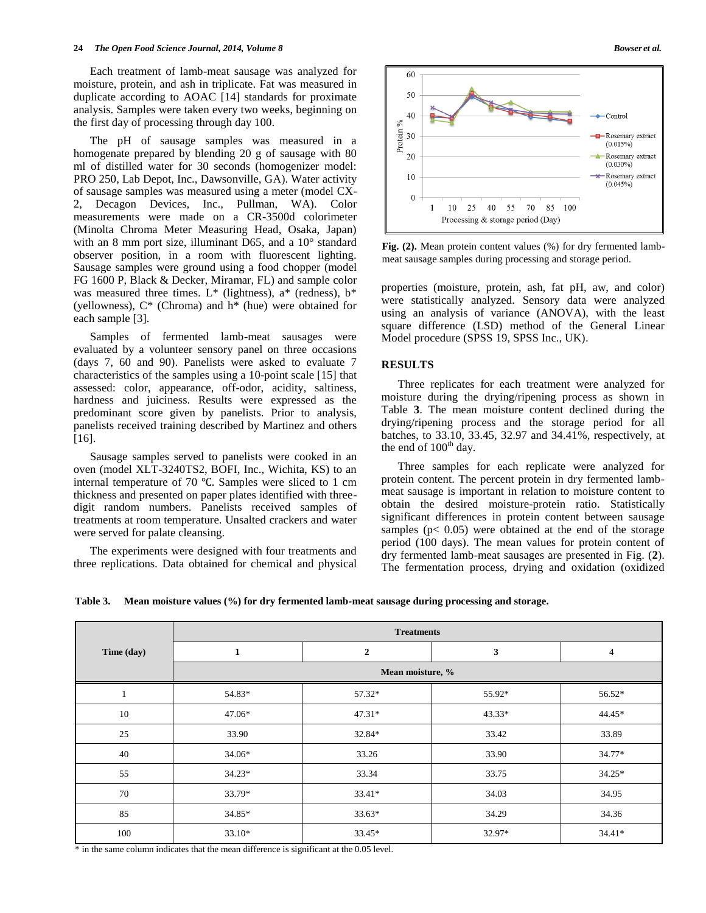Each treatment of lamb-meat sausage was analyzed for moisture, protein, and ash in triplicate. Fat was measured in duplicate according to AOAC [14] standards for proximate analysis. Samples were taken every two weeks, beginning on the first day of processing through day 100.

The pH of sausage samples was measured in a homogenate prepared by blending 20 g of sausage with 80 ml of distilled water for 30 seconds (homogenizer model: PRO 250, Lab Depot, Inc., Dawsonville, GA). Water activity of sausage samples was measured using a meter (model CX-2, Decagon Devices, Inc., Pullman, WA). Color measurements were made on a CR-3500d colorimeter (Minolta Chroma Meter Measuring Head, Osaka, Japan) with an 8 mm port size, illuminant D65, and a 10° standard observer position, in a room with fluorescent lighting. Sausage samples were ground using a food chopper (model FG 1600 P, Black & Decker, Miramar, FL) and sample color was measured three times. L\* (lightness),  $a^*$  (redness),  $b^*$ (yellowness), C\* (Chroma) and h\* (hue) were obtained for each sample [3].

Samples of fermented lamb-meat sausages were evaluated by a volunteer sensory panel on three occasions (days 7, 60 and 90). Panelists were asked to evaluate 7 characteristics of the samples using a 10-point scale [15] that assessed: color, appearance, off-odor, acidity, saltiness, hardness and juiciness. Results were expressed as the predominant score given by panelists. Prior to analysis, panelists received training described by Martinez and others [16].

Sausage samples served to panelists were cooked in an oven (model XLT-3240TS2, BOFI, Inc., Wichita, KS) to an internal temperature of 70 ℃. Samples were sliced to 1 cm thickness and presented on paper plates identified with threedigit random numbers. Panelists received samples of treatments at room temperature. Unsalted crackers and water were served for palate cleansing.

The experiments were designed with four treatments and three replications. Data obtained for chemical and physical



**Fig. (2).** Mean protein content values (%) for dry fermented lambmeat sausage samples during processing and storage period.

properties (moisture, protein, ash, fat pH, aw, and color) were statistically analyzed. Sensory data were analyzed using an analysis of variance (ANOVA), with the least square difference (LSD) method of the General Linear Model procedure (SPSS 19, SPSS Inc., UK).

# **RESULTS**

Three replicates for each treatment were analyzed for moisture during the drying/ripening process as shown in Table **3**. The mean moisture content declined during the drying/ripening process and the storage period for all batches, to 33.10, 33.45, 32.97 and 34.41%, respectively, at the end of  $100<sup>th</sup>$  day.

Three samples for each replicate were analyzed for protein content. The percent protein in dry fermented lambmeat sausage is important in relation to moisture content to obtain the desired moisture-protein ratio. Statistically significant differences in protein content between sausage samples ( $p < 0.05$ ) were obtained at the end of the storage period (100 days). The mean values for protein content of dry fermented lamb-meat sausages are presented in Fig. (**2**). The fermentation process, drying and oxidation (oxidized

**Table 3. Mean moisture values (%) for dry fermented lamb-meat sausage during processing and storage.**

|            | <b>Treatments</b> |              |          |          |  |
|------------|-------------------|--------------|----------|----------|--|
| Time (day) | $\mathbf{1}$      | $\mathbf{2}$ | 3        | 4        |  |
|            | Mean moisture, %  |              |          |          |  |
| -1         | 54.83*            | 57.32*       | 55.92*   | 56.52*   |  |
| 10         | 47.06*            | $47.31*$     | $43.33*$ | 44.45*   |  |
| 25         | 33.90             | 32.84*       | 33.42    | 33.89    |  |
| 40         | 34.06*            | 33.26        | 33.90    | 34.77*   |  |
| 55         | $34.23*$          | 33.34        | 33.75    | $34.25*$ |  |
| 70         | 33.79*            | 33.41*       | 34.03    | 34.95    |  |
| 85         | 34.85*            | 33.63*       | 34.29    | 34.36    |  |
| 100        | $33.10*$          | 33.45*       | 32.97*   | $34.41*$ |  |

\* in the same column indicates that the mean difference is significant at the 0.05 level.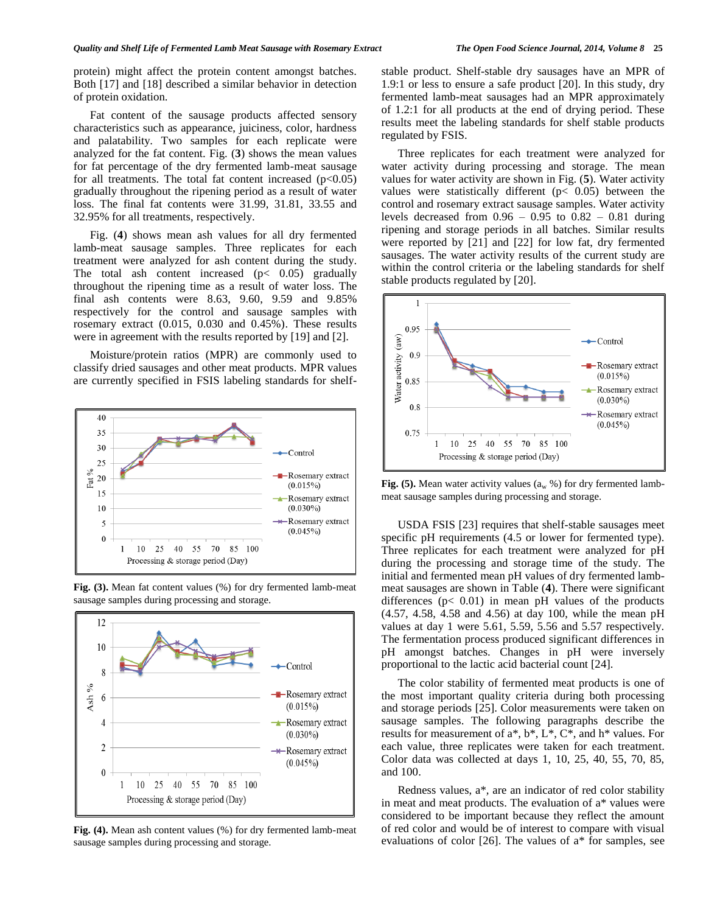protein) might affect the protein content amongst batches. Both [17] and [18] described a similar behavior in detection of protein oxidation.

Fat content of the sausage products affected sensory characteristics such as appearance, juiciness, color, hardness and palatability. Two samples for each replicate were analyzed for the fat content. Fig. (**3**) shows the mean values for fat percentage of the dry fermented lamb-meat sausage for all treatments. The total fat content increased  $(p<0.05)$ gradually throughout the ripening period as a result of water loss. The final fat contents were 31.99, 31.81, 33.55 and 32.95% for all treatments, respectively.

Fig. (**4**) shows mean ash values for all dry fermented lamb-meat sausage samples. Three replicates for each treatment were analyzed for ash content during the study. The total ash content increased  $(p < 0.05)$  gradually throughout the ripening time as a result of water loss. The final ash contents were 8.63, 9.60, 9.59 and 9.85% respectively for the control and sausage samples with rosemary extract (0.015, 0.030 and 0.45%). These results were in agreement with the results reported by [19] and [2].

Moisture/protein ratios (MPR) are commonly used to classify dried sausages and other meat products. MPR values are currently specified in FSIS labeling standards for shelf-





**Fig. (3).** Mean fat content values (%) for dry fermented lamb-meat sausage samples during processing and storage.

**Fig. (4).** Mean ash content values (%) for dry fermented lamb-meat sausage samples during processing and storage.

stable product. Shelf-stable dry sausages have an MPR of 1.9:1 or less to ensure a safe product [20]. In this study, dry fermented lamb-meat sausages had an MPR approximately of 1.2:1 for all products at the end of drying period. These results meet the labeling standards for shelf stable products regulated by FSIS.

Three replicates for each treatment were analyzed for water activity during processing and storage. The mean values for water activity are shown in Fig. (**5**). Water activity values were statistically different ( $p < 0.05$ ) between the control and rosemary extract sausage samples. Water activity levels decreased from  $0.96 - 0.95$  to  $0.82 - 0.81$  during ripening and storage periods in all batches. Similar results were reported by [21] and [22] for low fat, dry fermented sausages. The water activity results of the current study are within the control criteria or the labeling standards for shelf stable products regulated by [20].



**Fig. (5).** Mean water activity values  $(a_w %)$  for dry fermented lambmeat sausage samples during processing and storage.

USDA FSIS [23] requires that shelf-stable sausages meet specific pH requirements (4.5 or lower for fermented type). Three replicates for each treatment were analyzed for pH during the processing and storage time of the study. The initial and fermented mean pH values of dry fermented lambmeat sausages are shown in Table (**4**). There were significant differences (p< 0.01) in mean pH values of the products (4.57, 4.58, 4.58 and 4.56) at day 100, while the mean pH values at day 1 were 5.61, 5.59, 5.56 and 5.57 respectively. The fermentation process produced significant differences in pH amongst batches. Changes in pH were inversely proportional to the lactic acid bacterial count [24].

The color stability of fermented meat products is one of the most important quality criteria during both processing and storage periods [25]. Color measurements were taken on sausage samples. The following paragraphs describe the results for measurement of a\*, b\*, L\*, C\*, and h\* values. For each value, three replicates were taken for each treatment. Color data was collected at days 1, 10, 25, 40, 55, 70, 85, and 100.

Redness values, a\**,* are an indicator of red color stability in meat and meat products. The evaluation of a\* values were considered to be important because they reflect the amount of red color and would be of interest to compare with visual evaluations of color [26]. The values of a\* for samples, see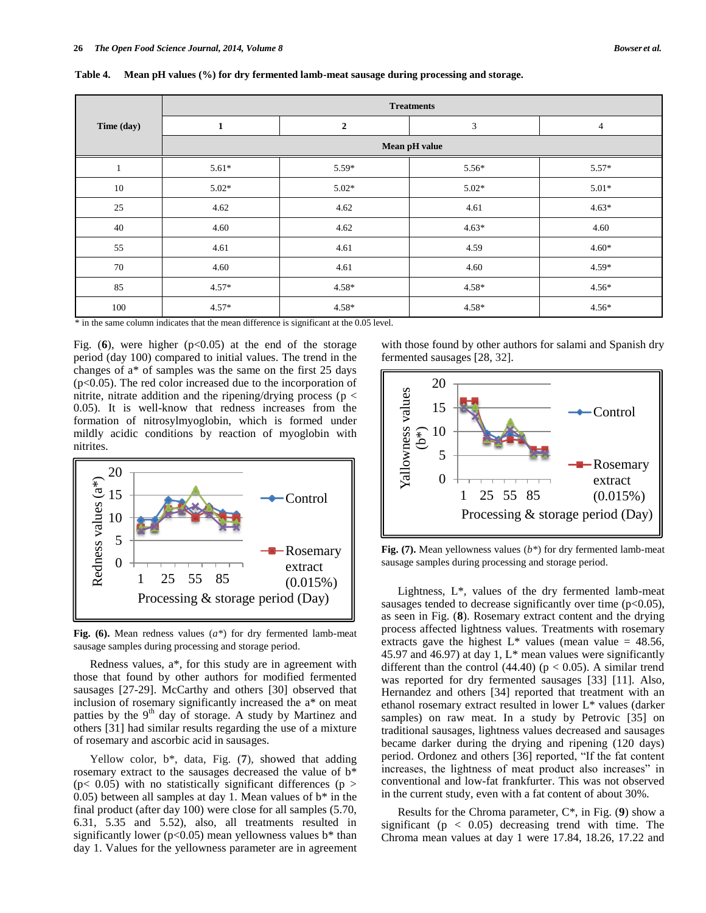|            | <b>Treatments</b> |              |         |                |  |
|------------|-------------------|--------------|---------|----------------|--|
| Time (day) | $\mathbf{1}$      | $\mathbf{2}$ | 3       | $\overline{4}$ |  |
|            | Mean pH value     |              |         |                |  |
|            | $5.61*$           | $5.59*$      | $5.56*$ | $5.57*$        |  |
| 10         | $5.02*$           | $5.02*$      | $5.02*$ | $5.01*$        |  |
| 25         | 4.62              | 4.62         | 4.61    | $4.63*$        |  |
| 40         | 4.60              | 4.62         | $4.63*$ | 4.60           |  |
| 55         | 4.61              | 4.61         | 4.59    | $4.60*$        |  |
| 70         | 4.60              | 4.61         | 4.60    | $4.59*$        |  |
| 85         | $4.57*$           | $4.58*$      | $4.58*$ | $4.56*$        |  |
| 100        | $4.57*$           | $4.58*$      | $4.58*$ | $4.56*$        |  |

**Table 4. Mean pH values (%) for dry fermented lamb-meat sausage during processing and storage.**

\* in the same column indicates that the mean difference is significant at the 0.05 level.

Fig.  $(6)$ , were higher  $(p<0.05)$  at the end of the storage period (day 100) compared to initial values. The trend in the changes of a\* of samples was the same on the first 25 days (p<0.05). The red color increased due to the incorporation of nitrite, nitrate addition and the ripening/drying process ( $p <$ 0.05). It is well-know that redness increases from the formation of nitrosylmyoglobin, which is formed under mildly acidic conditions by reaction of myoglobin with nitrites.



**Fig. (6).** Mean redness values (*a\**) for dry fermented lamb-meat sausage samples during processing and storage period.

Redness values, a\*, for this study are in agreement with those that found by other authors for modified fermented sausages [27-29]. McCarthy and others [30] observed that inclusion of rosemary significantly increased the a\* on meat patties by the  $9<sup>th</sup>$  day of storage. A study by Martinez and others [31] had similar results regarding the use of a mixture of rosemary and ascorbic acid in sausages.

Yellow color, b\*, data, Fig. (**7**), showed that adding rosemary extract to the sausages decreased the value of b\*  $(p< 0.05)$  with no statistically significant differences  $(p >$ 0.05) between all samples at day 1. Mean values of  $b^*$  in the final product (after day 100) were close for all samples (5.70, 6.31, 5.35 and 5.52), also, all treatments resulted in significantly lower ( $p<0.05$ ) mean yellowness values b<sup>\*</sup> than day 1. Values for the yellowness parameter are in agreement with those found by other authors for salami and Spanish dry fermented sausages [28, 32].



**Fig. (7).** Mean yellowness values (*b\**) for dry fermented lamb-meat sausage samples during processing and storage period.

Lightness, L\**,* values of the dry fermented lamb-meat sausages tended to decrease significantly over time  $(p<0.05)$ , as seen in Fig. (**8**). Rosemary extract content and the drying process affected lightness values. Treatments with rosemary extracts gave the highest  $L^*$  values (mean value = 48.56, 45.97 and 46.97) at day 1,  $L^*$  mean values were significantly different than the control  $(44.40)$  ( $p < 0.05$ ). A similar trend was reported for dry fermented sausages [33] [11]. Also, Hernandez and others [34] reported that treatment with an ethanol rosemary extract resulted in lower L\* values (darker samples) on raw meat. In a study by Petrovic [35] on traditional sausages, lightness values decreased and sausages became darker during the drying and ripening (120 days) period. Ordonez and others [36] reported, "If the fat content increases, the lightness of meat product also increases" in conventional and low-fat frankfurter. This was not observed in the current study, even with a fat content of about 30%.

Results for the Chroma parameter, C\*, in Fig. (**9**) show a significant ( $p < 0.05$ ) decreasing trend with time. The Chroma mean values at day 1 were 17.84, 18.26, 17.22 and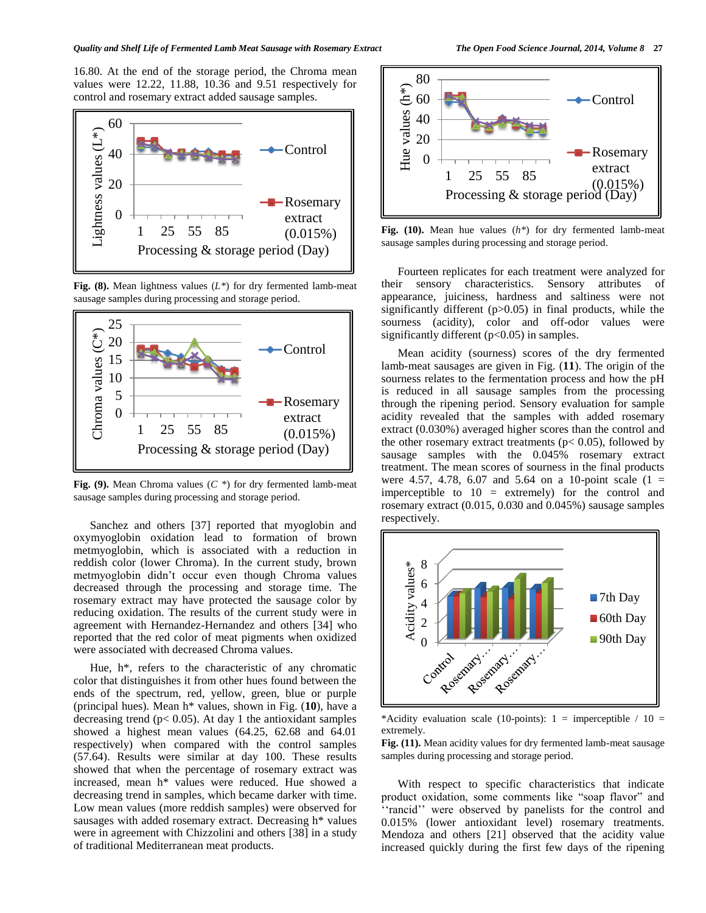## *Quality and Shelf Life of Fermented Lamb Meat Sausage with Rosemary Extract The Open Food Science Journal, 2014, Volume 8* **27**

16.80. At the end of the storage period, the Chroma mean values were 12.22, 11.88, 10.36 and 9.51 respectively for control and rosemary extract added sausage samples.



**Fig. (8).** Mean lightness values (*L\**) for dry fermented lamb-meat sausage samples during processing and storage period.



**Fig. (9).** Mean Chroma values (*C \**) for dry fermented lamb-meat sausage samples during processing and storage period.

Sanchez and others [37] reported that myoglobin and oxymyoglobin oxidation lead to formation of brown metmyoglobin, which is associated with a reduction in reddish color (lower Chroma). In the current study, brown metmyoglobin didn't occur even though Chroma values decreased through the processing and storage time. The rosemary extract may have protected the sausage color by reducing oxidation. The results of the current study were in agreement with Hernandez-Hernandez and others [34] who reported that the red color of meat pigments when oxidized were associated with decreased Chroma values.

Hue, h\**,* refers to the characteristic of any chromatic color that distinguishes it from other hues found between the ends of the spectrum, red, yellow, green, blue or purple (principal hues). Mean h\* values, shown in Fig. (**10**), have a decreasing trend ( $p$ < 0.05). At day 1 the antioxidant samples showed a highest mean values (64.25, 62.68 and 64.01 respectively) when compared with the control samples (57.64). Results were similar at day 100. These results showed that when the percentage of rosemary extract was increased, mean h\* values were reduced. Hue showed a decreasing trend in samples, which became darker with time. Low mean values (more reddish samples) were observed for sausages with added rosemary extract. Decreasing h\* values were in agreement with Chizzolini and others [38] in a study of traditional Mediterranean meat products.



**Fig. (10).** Mean hue values (*h\**) for dry fermented lamb-meat sausage samples during processing and storage period.

Fourteen replicates for each treatment were analyzed for their sensory characteristics. Sensory attributes of appearance, juiciness, hardness and saltiness were not significantly different (p>0.05) in final products, while the sourness (acidity), color and off-odor values were significantly different (p<0.05) in samples.

Mean acidity (sourness) scores of the dry fermented lamb-meat sausages are given in Fig. (**11**). The origin of the sourness relates to the fermentation process and how the pH is reduced in all sausage samples from the processing through the ripening period. Sensory evaluation for sample acidity revealed that the samples with added rosemary extract (0.030%) averaged higher scores than the control and the other rosemary extract treatments ( $p$ < 0.05), followed by sausage samples with the 0.045% rosemary extract treatment. The mean scores of sourness in the final products were 4.57, 4.78, 6.07 and 5.64 on a 10-point scale  $(1 =$ imperceptible to  $10 =$  extremely) for the control and rosemary extract (0.015, 0.030 and 0.045%) sausage samples respectively.



\*Acidity evaluation scale (10-points):  $1 =$  imperceptible / 10 = extremely.

**Fig. (11).** Mean acidity values for dry fermented lamb-meat sausage samples during processing and storage period.

With respect to specific characteristics that indicate product oxidation, some comments like "soap flavor" and "rancid" were observed by panelists for the control and 0.015% (lower antioxidant level) rosemary treatments. Mendoza and others [21] observed that the acidity value increased quickly during the first few days of the ripening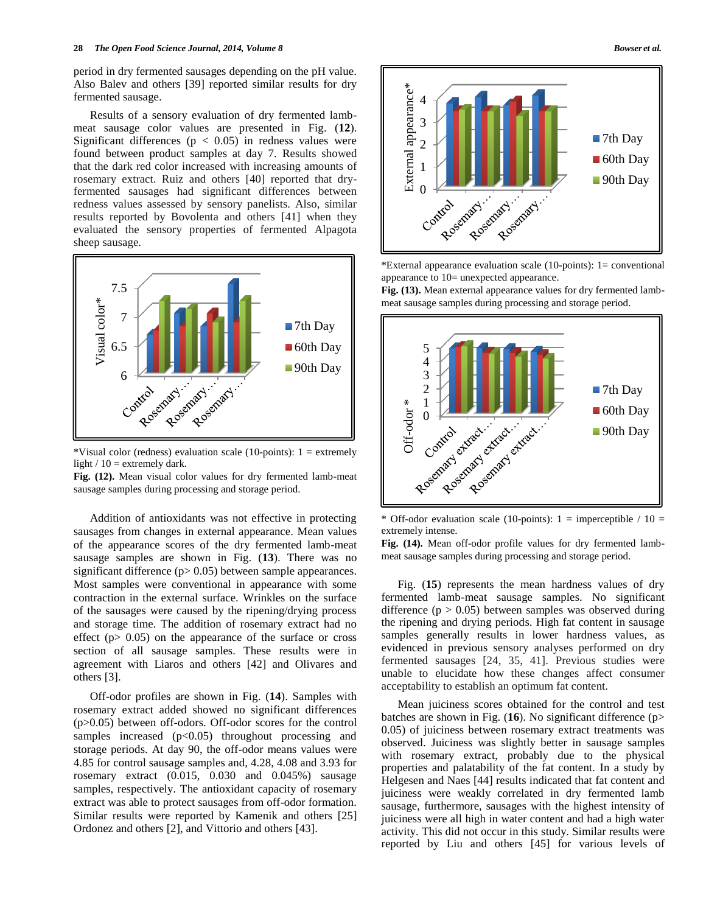period in dry fermented sausages depending on the pH value. Also Balev and others [39] reported similar results for dry fermented sausage.

Results of a sensory evaluation of dry fermented lambmeat sausage color values are presented in Fig. (**12**). Significant differences ( $p < 0.05$ ) in redness values were found between product samples at day 7. Results showed that the dark red color increased with increasing amounts of rosemary extract. Ruiz and others [40] reported that dryfermented sausages had significant differences between redness values assessed by sensory panelists. Also, similar results reported by Bovolenta and others [41] when they evaluated the sensory properties of fermented Alpagota sheep sausage.



\*Visual color (redness) evaluation scale (10-points):  $1 =$  extremely light  $/ 10 =$  extremely dark.

**Fig. (12).** Mean visual color values for dry fermented lamb-meat sausage samples during processing and storage period.

Addition of antioxidants was not effective in protecting sausages from changes in external appearance. Mean values of the appearance scores of the dry fermented lamb-meat sausage samples are shown in Fig. (**13**). There was no significant difference (p > 0.05) between sample appearances. Most samples were conventional in appearance with some contraction in the external surface. Wrinkles on the surface of the sausages were caused by the ripening/drying process and storage time. The addition of rosemary extract had no effect ( $p$   $>$   $0.05$ ) on the appearance of the surface or cross section of all sausage samples. These results were in agreement with Liaros and others [42] and Olivares and others [3].

Off-odor profiles are shown in Fig. (**14**). Samples with rosemary extract added showed no significant differences (p>0.05) between off-odors. Off-odor scores for the control samples increased  $(p<0.05)$  throughout processing and storage periods. At day 90, the off-odor means values were 4.85 for control sausage samples and, 4.28, 4.08 and 3.93 for rosemary extract (0.015, 0.030 and 0.045%) sausage samples, respectively. The antioxidant capacity of rosemary extract was able to protect sausages from off-odor formation. Similar results were reported by Kamenik and others [25] Ordonez and others [2], and Vittorio and others [43].



\*External appearance evaluation scale (10-points): 1= conventional appearance to 10= unexpected appearance.

**Fig. (13).** Mean external appearance values for dry fermented lambmeat sausage samples during processing and storage period.



\* Off-odor evaluation scale (10-points):  $1 =$  imperceptible / 10 = extremely intense.

**Fig. (14).** Mean off-odor profile values for dry fermented lambmeat sausage samples during processing and storage period.

Fig. (**15**) represents the mean hardness values of dry fermented lamb-meat sausage samples. No significant difference ( $p > 0.05$ ) between samples was observed during the ripening and drying periods. High fat content in sausage samples generally results in lower hardness values, as evidenced in previous sensory analyses performed on dry fermented sausages [24, 35, 41]. Previous studies were unable to elucidate how these changes affect consumer acceptability to establish an optimum fat content.

Mean juiciness scores obtained for the control and test batches are shown in Fig. (**16**). No significant difference (p> 0.05) of juiciness between rosemary extract treatments was observed. Juiciness was slightly better in sausage samples with rosemary extract, probably due to the physical properties and palatability of the fat content. In a study by Helgesen and Naes [44] results indicated that fat content and juiciness were weakly correlated in dry fermented lamb sausage, furthermore, sausages with the highest intensity of juiciness were all high in water content and had a high water activity. This did not occur in this study. Similar results were reported by Liu and others [45] for various levels of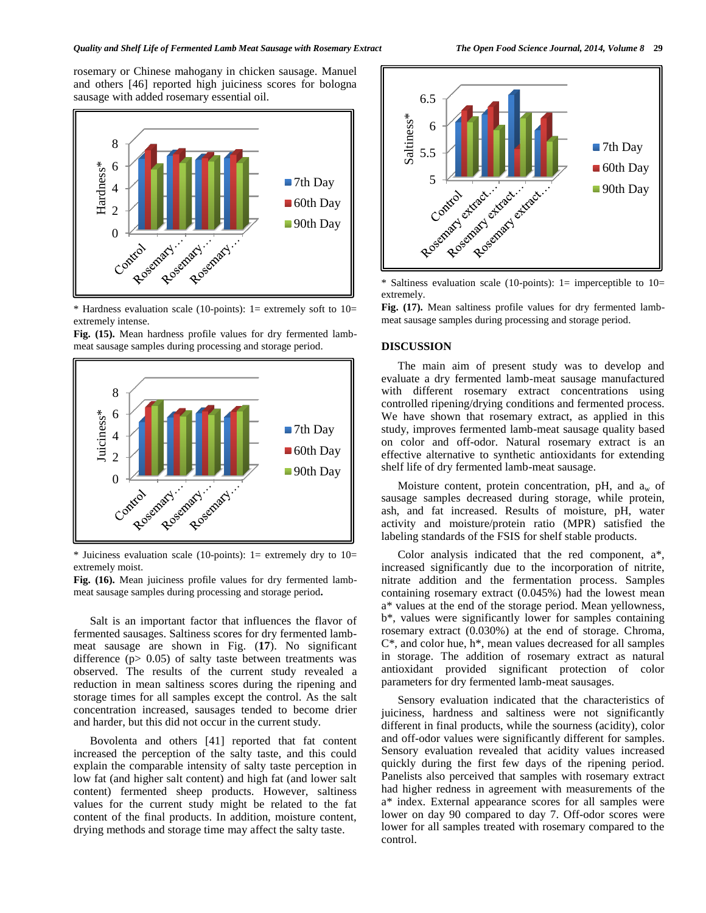### *Quality and Shelf Life of Fermented Lamb Meat Sausage with Rosemary Extract The Open Food Science Journal, 2014, Volume 8* **29**

rosemary or Chinese mahogany in chicken sausage. Manuel and others [46] reported high juiciness scores for bologna sausage with added rosemary essential oil.



\* Hardness evaluation scale (10-points): 1= extremely soft to 10= extremely intense.

**Fig. (15).** Mean hardness profile values for dry fermented lambmeat sausage samples during processing and storage period.



\* Juiciness evaluation scale (10-points):  $1=$  extremely dry to  $10=$ extremely moist.

**Fig. (16).** Mean juiciness profile values for dry fermented lambmeat sausage samples during processing and storage period**.**

Salt is an important factor that influences the flavor of fermented sausages. Saltiness scores for dry fermented lambmeat sausage are shown in Fig. (**17**). No significant difference (p> 0.05) of salty taste between treatments was observed. The results of the current study revealed a reduction in mean saltiness scores during the ripening and storage times for all samples except the control. As the salt concentration increased, sausages tended to become drier and harder, but this did not occur in the current study.

Bovolenta and others [41] reported that fat content increased the perception of the salty taste, and this could explain the comparable intensity of salty taste perception in low fat (and higher salt content) and high fat (and lower salt content) fermented sheep products. However, saltiness values for the current study might be related to the fat content of the final products. In addition, moisture content, drying methods and storage time may affect the salty taste.



\* Saltiness evaluation scale (10-points):  $1=$  imperceptible to  $10=$ extremely.

**Fig. (17).** Mean saltiness profile values for dry fermented lambmeat sausage samples during processing and storage period.

#### **DISCUSSION**

The main aim of present study was to develop and evaluate a dry fermented lamb-meat sausage manufactured with different rosemary extract concentrations using controlled ripening/drying conditions and fermented process. We have shown that rosemary extract, as applied in this study, improves fermented lamb-meat sausage quality based on color and off-odor. Natural rosemary extract is an effective alternative to synthetic antioxidants for extending shelf life of dry fermented lamb-meat sausage.

Moisture content, protein concentration, pH, and  $a_w$  of sausage samples decreased during storage, while protein, ash, and fat increased. Results of moisture, pH, water activity and moisture/protein ratio (MPR) satisfied the labeling standards of the FSIS for shelf stable products.

Color analysis indicated that the red component, a\*, increased significantly due to the incorporation of nitrite, nitrate addition and the fermentation process. Samples containing rosemary extract (0.045%) had the lowest mean a\* values at the end of the storage period. Mean yellowness, b\*, values were significantly lower for samples containing rosemary extract (0.030%) at the end of storage. Chroma, C\*, and color hue, h\*, mean values decreased for all samples in storage. The addition of rosemary extract as natural antioxidant provided significant protection of color parameters for dry fermented lamb-meat sausages.

Sensory evaluation indicated that the characteristics of juiciness, hardness and saltiness were not significantly different in final products, while the sourness (acidity), color and off-odor values were significantly different for samples. Sensory evaluation revealed that acidity values increased quickly during the first few days of the ripening period. Panelists also perceived that samples with rosemary extract had higher redness in agreement with measurements of the a\* index. External appearance scores for all samples were lower on day 90 compared to day 7. Off-odor scores were lower for all samples treated with rosemary compared to the control.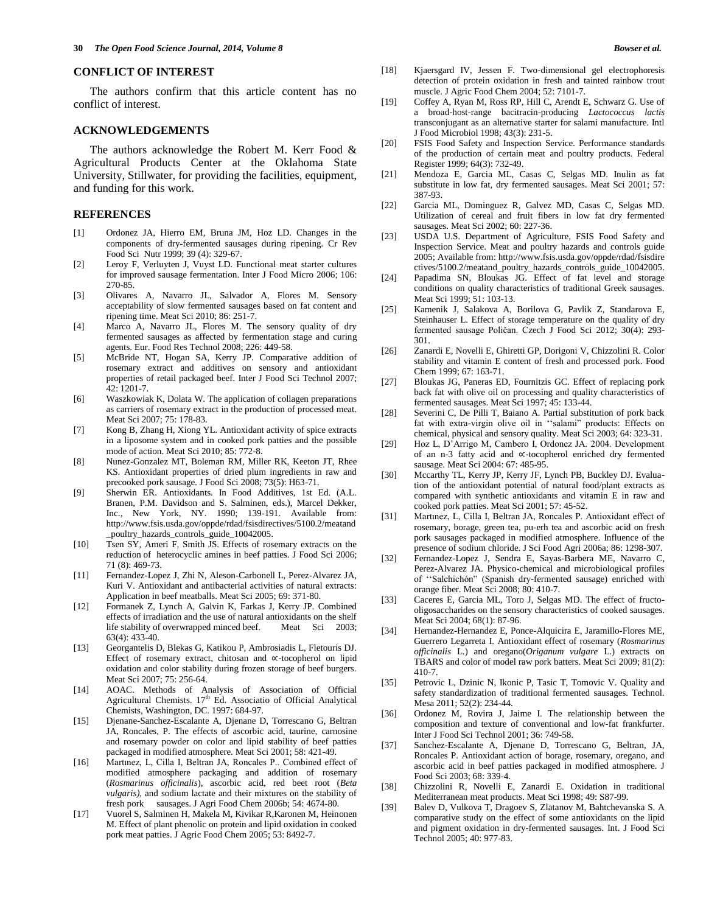# **CONFLICT OF INTEREST**

The authors confirm that this article content has no conflict of interest.

# **ACKNOWLEDGEMENTS**

The authors acknowledge the Robert M. Kerr Food & Agricultural Products Center at the Oklahoma State University, Stillwater, for providing the facilities, equipment, and funding for this work.

# **REFERENCES**

- [1] Ordonez JA, Hierro EM, Bruna JM, Hoz LD. Changes in the components of dry-fermented sausages during ripening. Cr Rev Food Sci Nutr 1999; 39 (4): 329-67.
- [2] Leroy F, Verluyten J, Vuyst LD. Functional meat starter cultures for improved sausage fermentation. Inter J Food Micro 2006; 106: 270-85.
- [3] Olivares A, Navarro JL, Salvador A, Flores M. Sensory acceptability of slow fermented sausages based on fat content and ripening time. Meat Sci 2010; 86: 251-7.
- [4] Marco A, Navarro JL, Flores M. The sensory quality of dry fermented sausages as affected by fermentation stage and curing agents. Eur. Food Res Technol 2008; 226: 449-58.
- [5] McBride NT, Hogan SA, Kerry JP. Comparative addition of rosemary extract and additives on sensory and antioxidant properties of retail packaged beef. Inter J Food Sci Technol 2007; 42: 1201-7.
- [6] Waszkowiak K, Dolata W. The application of collagen preparations as carriers of rosemary extract in the production of processed meat. Meat Sci 2007; 75: 178-83.
- [7] Kong B, Zhang H, Xiong YL. Antioxidant activity of spice extracts in a liposome system and in cooked pork patties and the possible mode of action. Meat Sci 2010; 85: 772-8.
- [8] Nunez-Gonzalez MT, Boleman RM, Miller RK, Keeton JT, Rhee KS. Antioxidant properties of dried plum ingredients in raw and precooked pork sausage. J Food Sci 2008; 73(5): H63-71.
- [9] Sherwin ER. Antioxidants. In Food Additives, 1st Ed. (A.L. Branen, P.M. Davidson and S. Salminen, eds.), Marcel Dekker, Inc., New York, NY. 1990; 139-191. Available from: http://www.fsis.usda.gov/oppde/rdad/fsisdirectives/5100.2/meatand \_poultry\_hazards\_controls\_guide\_10042005.
- [10] Tsen SY, Ameri F, Smith JS. Effects of rosemary extracts on the reduction of heterocyclic amines in beef patties. J Food Sci 2006; 71 (8): 469-73.
- [11] Fernandez-Lopez J, Zhi N, Aleson-Carbonell L, Perez-Alvarez JA, Kuri V. Antioxidant and antibacterial activities of natural extracts: Application in beef meatballs. Meat Sci 2005; 69: 371-80.
- [12] Formanek Z, Lynch A, Galvin K, Farkas J, Kerry JP. Combined effects of irradiation and the use of natural antioxidants on the shelf<br>life stability of overwrapped minced beef. Meat Sci 2003; life stability of overwrapped minced beef. 63(4): 433-40.
- [13] Georgantelis D, Blekas G, Katikou P, Ambrosiadis L, Fletouris DJ. Effect of rosemary extract, chitosan and ∝-tocopherol on lipid oxidation and color stability during frozen storage of beef burgers. Meat Sci 2007; 75: 256-64.
- [14] AOAC. Methods of Analysis of Association of Official Agricultural Chemists.  $17<sup>th</sup>$  Ed. Associatio of Official Analytical Chemists, Washington, DC. 1997: 684-97.
- [15] Djenane-Sanchez-Escalante A, Djenane D, Torrescano G, Beltran JA, Roncales, P. The effects of ascorbic acid, taurine, carnosine and rosemary powder on color and lipid stability of beef patties packaged in modified atmosphere. Meat Sci 2001; 58: 421-49.
- [16] Martinez, L, Cilla I, Beltran JA, Roncales P.. Combined effect of modified atmosphere packaging and addition of rosemary (*Rosmarinus officinalis*), ascorbic acid, red beet root (*Beta vulgaris),* and sodium lactate and their mixtures on the stability of fresh pork sausages. J Agri Food Chem 2006b; 54: 4674-80.
- [17] Vuorel S, Salminen H, Makela M, Kivikar R,Karonen M, Heinonen M. Effect of plant phenolic on protein and lipid oxidation in cooked pork meat patties. J Agric Food Chem 2005; 53: 8492-7.
- [18] Kjaersgard IV, Jessen F. Two-dimensional gel electrophoresis detection of protein oxidation in fresh and tainted rainbow trout muscle. J Agric Food Chem 2004; 52: 7101-7.
- [19] Coffey A, Ryan M, Ross RP, Hill C, Arendt E, Schwarz G. Use of a broad-host-range bacitracin-producing *Lactococcus lactis* transconjugant as an alternative starter for salami manufacture. Intl J Food Microbiol 1998; 43(3): 231-5.
- [20] FSIS Food Safety and Inspection Service. Performance standards of the production of certain meat and poultry products. Federal Register 1999; 64(3): 732-49.
- [21] Mendoza E, Garcia ML, Casas C, Selgas MD. Inulin as fat substitute in low fat, dry fermented sausages. Meat Sci 2001; 57: 387-93.
- [22] Garcia ML, Dominguez R, Galvez MD, Casas C, Selgas MD. Utilization of cereal and fruit fibers in low fat dry fermented sausages. Meat Sci 2002; 60: 227-36.
- [23] USDA U.S. Department of Agriculture, FSIS Food Safety and Inspection Service. Meat and poultry hazards and controls guide 2005; Available from: http://www.fsis.usda.gov/oppde/rdad/fsisdire ctives/5100.2/meatand\_poultry\_hazards\_controls\_guide\_10042005.
- [24] Papadima SN, Bloukas JG. Effect of fat level and storage conditions on quality characteristics of traditional Greek sausages. Meat Sci 1999; 51: 103-13.
- [25] Kamenik J, Salakova A, Borilova G, Pavlik Z, Standarova E, Steinhauser L. Effect of storage temperature on the quality of dry fermented sausage Poličan. Czech J Food Sci 2012; 30(4): 293- 301.
- [26] Zanardi E, Novelli E, Ghiretti GP, Dorigoni V, Chizzolini R. Color stability and vitamin E content of fresh and processed pork. Food Chem 1999; 67: 163-71.
- [27] Bloukas JG, Paneras ED, Fournitzis GC. Effect of replacing pork back fat with olive oil on processing and quality characteristics of fermented sausages. Meat Sci 1997; 45: 133-44.
- [28] Severini C, De Pilli T, Baiano A. Partial substitution of pork back fat with extra-virgin olive oil in ''salami" products: Effects on chemical, physical and sensory quality. Meat Sci 2003; 64: 323-31.
- [29] Hoz L, D'Arrigo M, Cambero I, Ordonez JA. 2004. Development of an n-3 fatty acid and ∝-tocopherol enriched dry fermented sausage. Meat Sci 2004: 67: 485-95.
- [30] Mccarthy TL, Kerry JP, Kerry JF, Lynch PB, Buckley DJ. Evaluation of the antioxidant potential of natural food/plant extracts as compared with synthetic antioxidants and vitamin E in raw and cooked pork patties. Meat Sci 2001; 57: 45-52.
- [31] Martınez, L, Cilla I, Beltran JA, Roncales P. Antioxidant effect of rosemary, borage, green tea, pu-erh tea and ascorbic acid on fresh pork sausages packaged in modified atmosphere. Influence of the presence of sodium chloride. J Sci Food Agri 2006a; 86: 1298-307.
- [32] Fernandez-Lopez J, Sendra E, Sayas-Barbera ME, Navarro C, Perez-Alvarez JA. Physico-chemical and microbiological profiles of ''Salchichón" (Spanish dry-fermented sausage) enriched with orange fiber. Meat Sci 2008; 80: 410-7.
- [33] Caceres E, Garcia ML, Toro J, Selgas MD. The effect of fructooligosaccharides on the sensory characteristics of cooked sausages. Meat Sci 2004; 68(1): 87-96.
- [34] Hernandez-Hernandez E, Ponce-Alquicira E, Jaramillo-Flores ME, Guerrero Legarreta I. Antioxidant effect of rosemary (*Rosmarinus officinalis* L.) and oregano(*Origanum vulgare* L.) extracts on TBARS and color of model raw pork batters. Meat Sci 2009; 81(2): 410-7.
- [35] Petrovic L, Dzinic N, Ikonic P, Tasic T, Tomovic V. Quality and safety standardization of traditional fermented sausages. Technol. Mesa 2011; 52(2): 234-44.
- [36] Ordonez M, Rovira J, Jaime I. The relationship between the composition and texture of conventional and low-fat frankfurter. Inter J Food Sci Technol 2001; 36: 749-58.
- [37] Sanchez-Escalante A, Djenane D, Torrescano G, Beltran, JA, Roncales P. Antioxidant action of borage, rosemary, oregano, and ascorbic acid in beef patties packaged in modified atmosphere. J Food Sci 2003; 68: 339-4.
- [38] Chizzolini R, Novelli E, Zanardi E. Oxidation in traditional Mediterranean meat products. Meat Sci 1998; 49: S87-99.
- [39] Balev D, Vulkova T, Dragoev S, Zlatanov M, Bahtchevanska S. A comparative study on the effect of some antioxidants on the lipid and pigment oxidation in dry-fermented sausages. Int. J Food Sci Technol 2005; 40: 977-83.